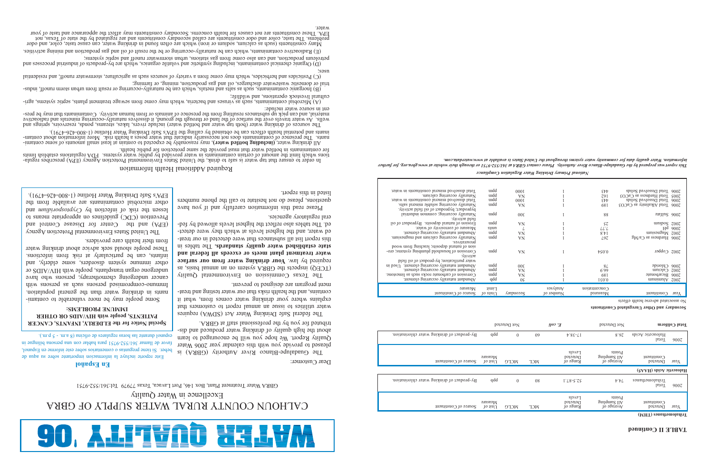

# CALHOUN COUNTY RURAL WATER SUPPLY OF GBRA

Excellence in Water Quality

The Guadalupe-Blanco River Authority (GBRA) is pleased to provide you with this calendar year 2006 Water Quality Report. We hope you will be encouraged to learn about the high delighty of drinking water produced and distributed for you by the professional staff at GBRA.

GBRA Water Treatment Plant, Box 146, Port Lavaca, Texas 77979 Tel:361/552-9751

Dear Customer:

The federal Safe Drinking Water Act (SDWA) requires water utilities to issue an annual report to customers that explains where your drinking water comes from, what it contains, and the health risks that our water testing and treatment program are designed to prevent.

The Texas Commission on Environmental Quality (TCEQ) inspects the GBRA system on an annual basis, as **required by law. Your drinking water from our surface water treatment plant meets or exceeds all federal and** The tables in **state established water quality standards.** this report list all substances that were detected in our treated water, and the highest levels at which they were detected. The tables also reflect the highest levels allowed by federal regulatory agencies.

Please read this information carefully and if you have questions, please do not hesitate to call the phone numbers listed in this report.

## **En Español**

Este reporte incluye la informacion importante sobre su aqua de beber. Si tiene preguntas o comentarios sobre este informe en Espanol, favor de llamar 361/552-9751 para hablar con una persona bilingue in espanol durante las horas regulares de oficina (8 a.m. - 5 p.m.).

## Required Additional Health Information

In order to ensure that tap water is safe to drink, the United States Environmental Protection Agency (PA) prescribes regula-<br>tions which limit the annount of certain ontainants in water provided by public water systems.

All dinking vater, (including gartled water), may reasonably be expected to contain at least stam anounts of anounts of contaming and waterinants. The presence of contaminants does not necessarily indicate that water poses a health risk. More information about contam-<br>inants. The presence of contaminants does not necessarily indicate that water poses a health

Wells. As water travels over the surface of the land or through the ground, it dissolves naturally-occurring minerals and radioactive<br>wells. As water travels over the surface of the land or through the ground, it dissolves ent in source water include:<br>material, and can pick up substances resulting from the presence of animals or from human activity. Contaminants that may be pres-

(A) Microbial contaminants, such as viruses and bacteria, which may come from sewage treatment plants, septic systems, agri- cultural livestock operations, and wildlife;

tial or domestic wastewater discharges, on and gas production, mining, or farming or result from urban storm runoff, indus trial or domestic waster discharges, or domestic waster discharges, or  $\theta$ ) Indus trial or farmin

(C) Pesticides and herbicides, which may come from a variety of sources such as agriculture, stormwater ranoff, and residential ʻsəsn

petroleum production, and can also come from gas stations, urban stormwater runoff and septic systems;<br>petroleum processes and the manning system of the station organics, which are by-products of industrial processes and

. (E) Radioactive contaminants, which can be naturally-occurring or be the result of oil and gas production and mining activities

Hany constituents (such as calcium, sodium or iron) which are often found in drinking water, can cause taste, color, and odor of Texas, not define the secondary constituents are regulated by the state of Texas, not of Texa

water.

## **Special Notice for the ELDERLY, INFANTS, CANCER PATIENTS, people with HIV/AIDS OR OTHER IMMUNE PROBLEMS:**

Some people may be more vulnerable to contaminants in drinking water than the general population. Immuno-comprised persons are persons with cancer undergoing chemotherapy, persons who have undergone organ transplants, people with HIV/AIDS or other immune system disorders, some elderly, and infants, can be particularly at risk from infections. These people should seek advice about drinking water from their health care providers.

The United States Environmental Protection Agency (EPA) and the Center for Disease Control and Prevention (CDC) guidelines on appropriate means to bus *unipinodsoid* (v) you noticely by a risk of the *cryptus unipinodsoid* (v) you can be reader to reader the ri other microbial contaminants are available from the EPA's Safe Drinking Water Hotline (1-800-426-4791).

## **Secondary and Other Unregulated Constituents**

| Total dissolved mineral constituents in water.  | uidd               | 000I             |           | EÞÞ                     | 2006 Total Dissolved Solids    |                       |
|-------------------------------------------------|--------------------|------------------|-----------|-------------------------|--------------------------------|-----------------------|
| Naturally occurring calcium.                    | uidd               | <b>VN</b>        |           | 79I                     | $EOOs$ as each is the $COOs$   |                       |
| Total dissolved mineral constituents in water.  | uidd               | 000 <sub>I</sub> |           | EÞÞ                     | 2006 Total Dissolved Solids    |                       |
| Naturally occurring soluble mineral salts.      | uidd               | VN               |           | 68I                     | 2006 Total Alkalinity as CaCO3 |                       |
| byproduct; byproduct of oil field activity.     |                    |                  |           |                         |                                |                       |
| Naturally occurring; common industrial          | uidd               | $00\epsilon$     |           | 88                      | 900Z                           |                       |
| field activity.                                 |                    |                  |           |                         |                                |                       |
| Erosion of natural deposits. Byproduct of oil   | uidd               | VN               |           | Sτ                      | umpos z00z                     |                       |
| Measure of corrosivity of water.                | suun               | L                |           | LL'L                    | H <sub>d</sub>                 | 900 <sub>Z</sub>      |
| Abundant naturally occurring element.           | uidd               | VN               |           | 8.11                    | $m$ isən $3e$ M                | Z00Z                  |
| Naturally occurring calcium and magnesium.      | uidd               | VN               |           | L97                     | $2006$ Hardness as Ca/Mg       |                       |
| preseratives.                                   |                    |                  |           |                         |                                |                       |
| stion of natural deposits; leaching from wood   |                    |                  |           |                         |                                |                       |
| Corrosion of household plumbing systems; ero-   | uidd               | VN               |           | $\text{P}20.0$          | 2002 Copper                    |                       |
| асплиу.                                         |                    |                  |           |                         |                                |                       |
| water purification; by-product of oil field     |                    |                  |           |                         |                                |                       |
| Abundant naturally occurring element. Used in   | uidd               | $00\epsilon$     |           | 84                      | 2006 Chloride                  |                       |
| Abundant naturally occurring element.           | uidd               | VN               |           | 6.99                    | $C$ speinm                     | $z$ 00 $\overline{z}$ |
| Corrosion of carbonate rocks such as limestone. | uidd               | VΝ               |           | 68I                     | Bicarbonate                    | 900Z                  |
| Abundant naturally occurring element.           | qdd                | 0S               |           | 1.60.0                  | $\text{unitum}$ <sub>V</sub>   | $z$ 00 $\overline{z}$ |
|                                                 |                    |                  |           |                         |                                |                       |
| Measure                                         | Limit              |                  | səs∧jeu∀  | $\text{C}$ ontentration |                                |                       |
| $1000$ and $1000$ and $1000$                    | $\mu$ sin $\sigma$ | Secondary        | Jo rodumN | Measured                | 100                            | деят                  |

No associated adverse health effects

## **TABLE II Continued**

*National Primary Drinking Water Regulation Compliance*

*at www.gbra.org. for further This report was prepared by the Guadalupe-Blanco River Authority. Please contact GBRA at 361/552-9751 or through their website information. Water quality data for community water systems throughout the United States is available at www.waterdata.com.*

|                                            |                                         | Not Detected |            | $yoo \; \mathcal{F}$                  | Not Detected                                              |                                  | <b>Total Coliform</b> |
|--------------------------------------------|-----------------------------------------|--------------|------------|---------------------------------------|-----------------------------------------------------------|----------------------------------|-----------------------|
| By-product of drinking water chlorination. | qdd                                     | $\theta$     | 09         | $\uparrow 8E-L$                       | 8.02                                                      | Haloacetic Acids<br><b>IstoT</b> | 900Z                  |
| $p_{\text{min}}$ of Constituent            | Measure<br>$10$ $\text{lim}$ $\text{U}$ | <b>NICLG</b> | <b>NCL</b> | <b>Levels</b><br>Detected<br>Range of | Points<br>$\beta$ uilqun $\beta$ ll $\beta$<br>Average of | 100111500<br>Detected            | Year                  |
|                                            |                                         |              |            |                                       |                                                           | Haloacetic Acids (HAA5)          |                       |
| By-product of drinking water chlorination. | qdd                                     | $\theta$     | 08         | $1.78 - S.52$                         | $\overline{v}$ $\overline{v}$                             | Trihalomethanes<br><b>IstoT</b>  | 900Z                  |
| $p_{\text{min}}$ so at $\text{minmax}$     | Measure<br>$10$ iin $U$                 | <b>NICLG</b> | <b>NCL</b> | Levels<br>Detected<br>Range of        | Points<br>$3$ uilquin $\alpha$ llA<br>Average of          | 100111500<br>Detected            | Year                  |
|                                            |                                         |              |            |                                       |                                                           | (MHT) esanghemoladirT            |                       |

| าความวิติ 10N |  |
|---------------|--|